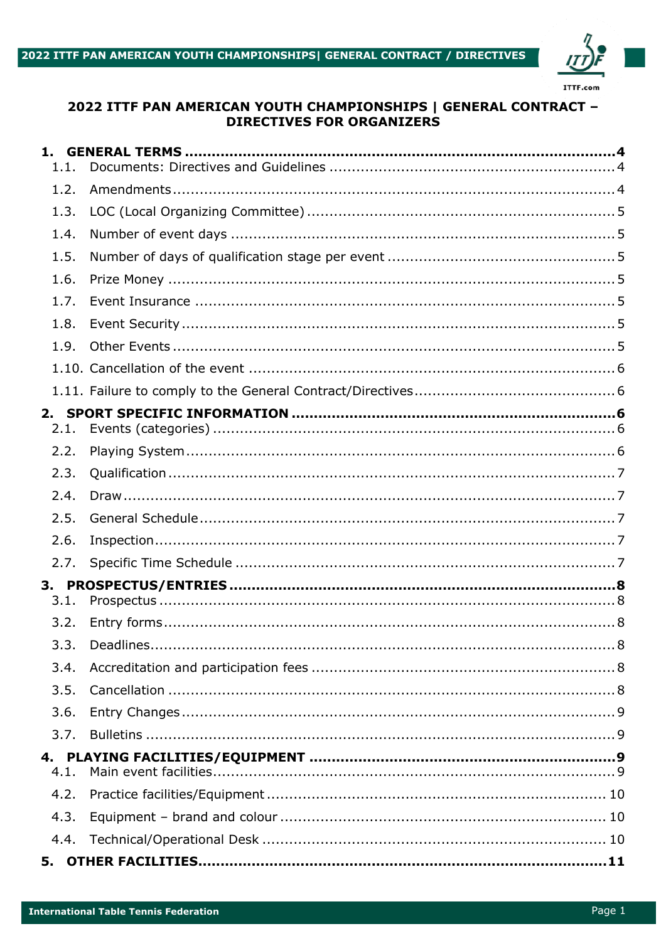

# 2022 ITTF PAN AMERICAN YOUTH CHAMPIONSHIPS | GENERAL CONTRACT -**DIRECTIVES FOR ORGANIZERS**

| 1.1. |  |
|------|--|
| 1.2. |  |
| 1.3. |  |
| 1.4. |  |
| 1.5. |  |
| 1.6. |  |
| 1.7. |  |
| 1.8. |  |
| 1.9. |  |
|      |  |
|      |  |
| 2.1. |  |
| 2.2. |  |
| 2.3. |  |
| 2.4. |  |
| 2.5. |  |
| 2.6. |  |
| 2.7. |  |
|      |  |
| 3.1. |  |
| 3.2. |  |
|      |  |
| 3.4. |  |
| 3.5. |  |
| 3.6. |  |
| 3.7. |  |
| 4.1. |  |
| 4.2. |  |
| 4.3. |  |
| 4.4. |  |
| 5.   |  |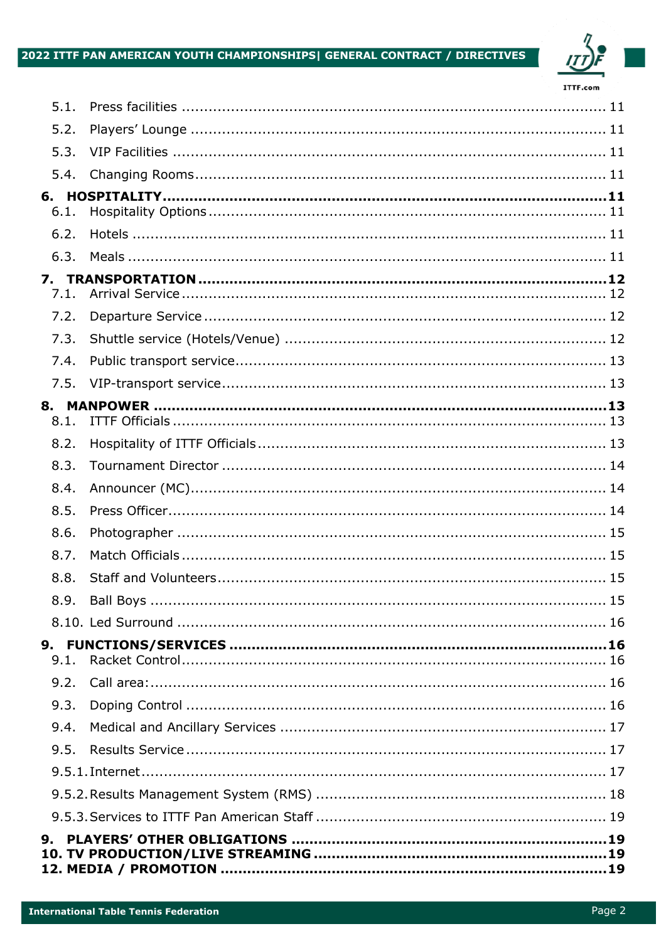# 2022 ITTF PAN AMERICAN YOUTH CHAMPIONSHIPS| GENERAL CONTRACT / DIRECTIVES



| 5.1.       |  |
|------------|--|
| 5.2.       |  |
| 5.3.       |  |
| 5.4.       |  |
|            |  |
| 6.1.       |  |
| 6.2.       |  |
| 6.3.       |  |
| 7.<br>7.1. |  |
| 7.2.       |  |
| 7.3.       |  |
| 7.4.       |  |
| 7.5.       |  |
|            |  |
| 8.1.       |  |
| 8.2.       |  |
| 8.3.       |  |
| 8.4.       |  |
| 8.5.       |  |
| 8.6.       |  |
| 8.7.       |  |
| 8.8.       |  |
|            |  |
|            |  |
| 9.1.       |  |
| 9.2.       |  |
| 9.3.       |  |
| 9.4.       |  |
| 9.5.       |  |
|            |  |
|            |  |
|            |  |
| 9.         |  |
|            |  |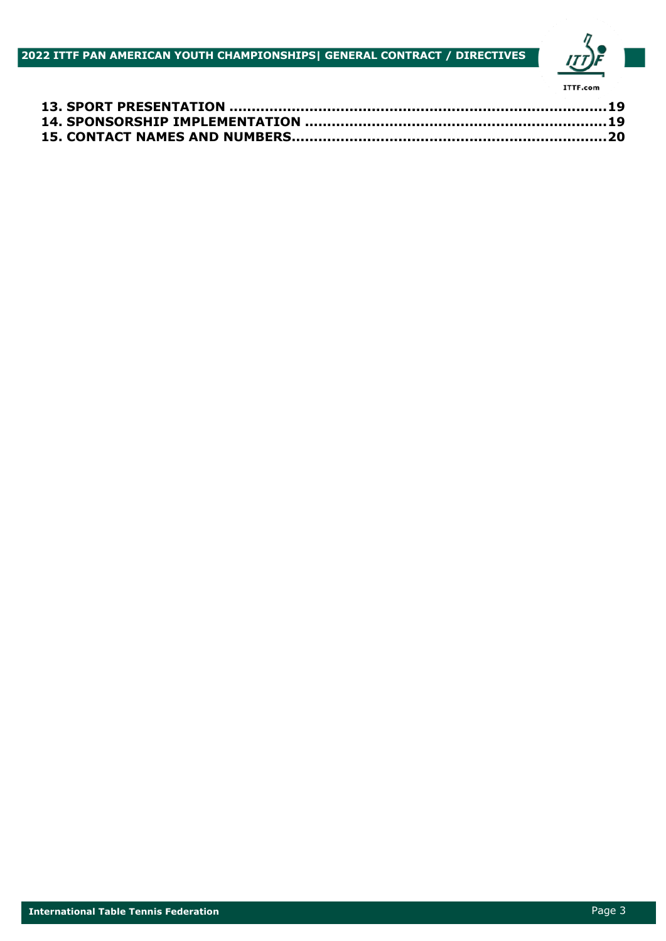**2022 ITTF PAN AMERICAN YOUTH CHAMPIONSHIPS| GENERAL CONTRACT / DIRECTIVES**

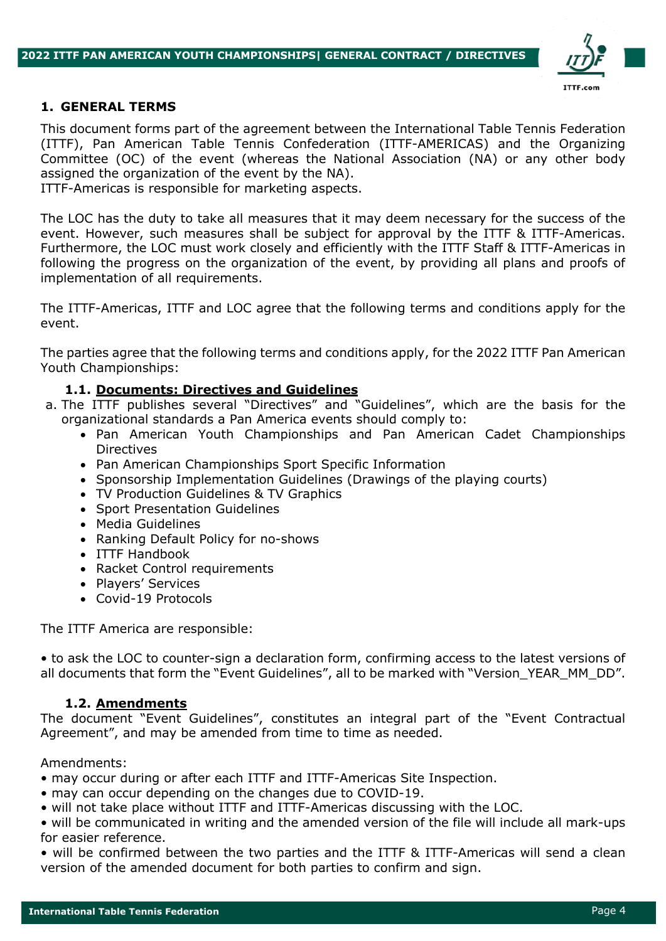

#### **1. GENERAL TERMS**

This document forms part of the agreement between the International Table Tennis Federation (ITTF), Pan American Table Tennis Confederation (ITTF-AMERICAS) and the Organizing Committee (OC) of the event (whereas the National Association (NA) or any other body assigned the organization of the event by the NA).

ITTF-Americas is responsible for marketing aspects.

The LOC has the duty to take all measures that it may deem necessary for the success of the event. However, such measures shall be subject for approval by the ITTF & ITTF-Americas. Furthermore, the LOC must work closely and efficiently with the ITTF Staff & ITTF-Americas in following the progress on the organization of the event, by providing all plans and proofs of implementation of all requirements.

The ITTF-Americas, ITTF and LOC agree that the following terms and conditions apply for the event.

The parties agree that the following terms and conditions apply, for the 2022 ITTF Pan American Youth Championships:

#### **1.1. Documents: Directives and Guidelines**

- a. The ITTF publishes several "Directives" and "Guidelines", which are the basis for the organizational standards a Pan America events should comply to:
	- Pan American Youth Championships and Pan American Cadet Championships Directives
	- Pan American Championships Sport Specific Information
	- Sponsorship Implementation Guidelines (Drawings of the playing courts)
	- TV Production Guidelines & TV Graphics
	- Sport Presentation Guidelines
	- Media Guidelines
	- Ranking Default Policy for no-shows
	- ITTF Handbook
	- Racket Control requirements
	- Players' Services
	- Covid-19 Protocols

The ITTF America are responsible:

• to ask the LOC to counter-sign a declaration form, confirming access to the latest versions of all documents that form the "Event Guidelines", all to be marked with "Version\_YEAR\_MM\_DD".

#### **1.2. Amendments**

The document "Event Guidelines", constitutes an integral part of the "Event Contractual Agreement", and may be amended from time to time as needed.

Amendments:

- may occur during or after each ITTF and ITTF-Americas Site Inspection.
- may can occur depending on the changes due to COVID-19.
- will not take place without ITTF and ITTF-Americas discussing with the LOC.

• will be communicated in writing and the amended version of the file will include all mark-ups for easier reference.

• will be confirmed between the two parties and the ITTF & ITTF-Americas will send a clean version of the amended document for both parties to confirm and sign.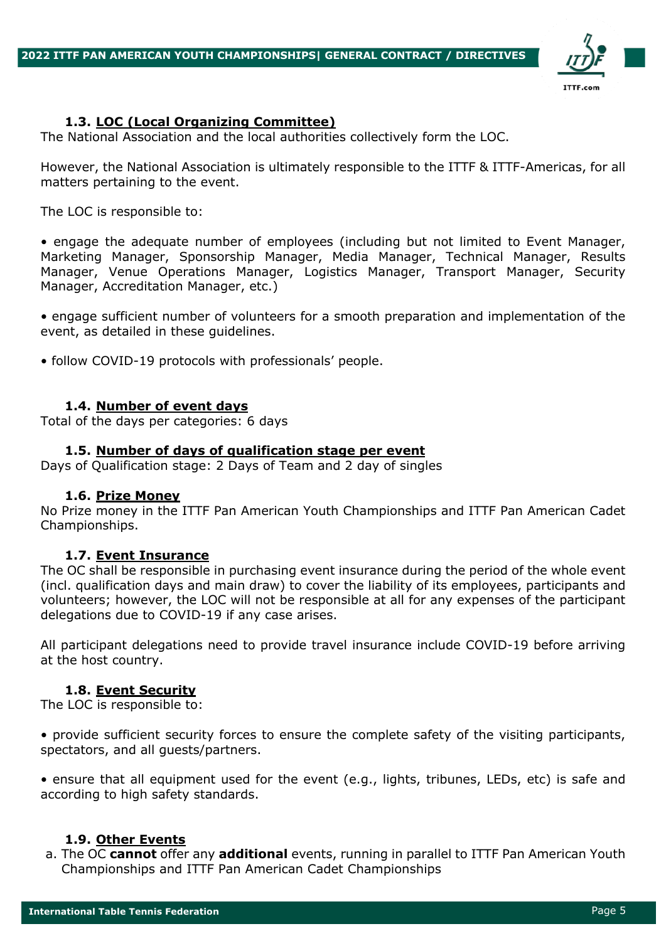

## **1.3. LOC (Local Organizing Committee)**

The National Association and the local authorities collectively form the LOC.

However, the National Association is ultimately responsible to the ITTF & ITTF-Americas, for all matters pertaining to the event.

The LOC is responsible to:

• engage the adequate number of employees (including but not limited to Event Manager, Marketing Manager, Sponsorship Manager, Media Manager, Technical Manager, Results Manager, Venue Operations Manager, Logistics Manager, Transport Manager, Security Manager, Accreditation Manager, etc.)

• engage sufficient number of volunteers for a smooth preparation and implementation of the event, as detailed in these guidelines.

• follow COVID-19 protocols with professionals' people.

#### **1.4. Number of event days**

Total of the days per categories: 6 days

#### **1.5. Number of days of qualification stage per event**

Days of Qualification stage: 2 Days of Team and 2 day of singles

#### **1.6. Prize Money**

No Prize money in the ITTF Pan American Youth Championships and ITTF Pan American Cadet Championships.

#### **1.7. Event Insurance**

The OC shall be responsible in purchasing event insurance during the period of the whole event (incl. qualification days and main draw) to cover the liability of its employees, participants and volunteers; however, the LOC will not be responsible at all for any expenses of the participant delegations due to COVID-19 if any case arises.

All participant delegations need to provide travel insurance include COVID-19 before arriving at the host country.

#### **1.8. Event Security**

The LOC is responsible to:

• provide sufficient security forces to ensure the complete safety of the visiting participants, spectators, and all guests/partners.

• ensure that all equipment used for the event (e.g., lights, tribunes, LEDs, etc) is safe and according to high safety standards.

#### **1.9. Other Events**

a. The OC **cannot** offer any **additional** events, running in parallel to ITTF Pan American Youth Championships and ITTF Pan American Cadet Championships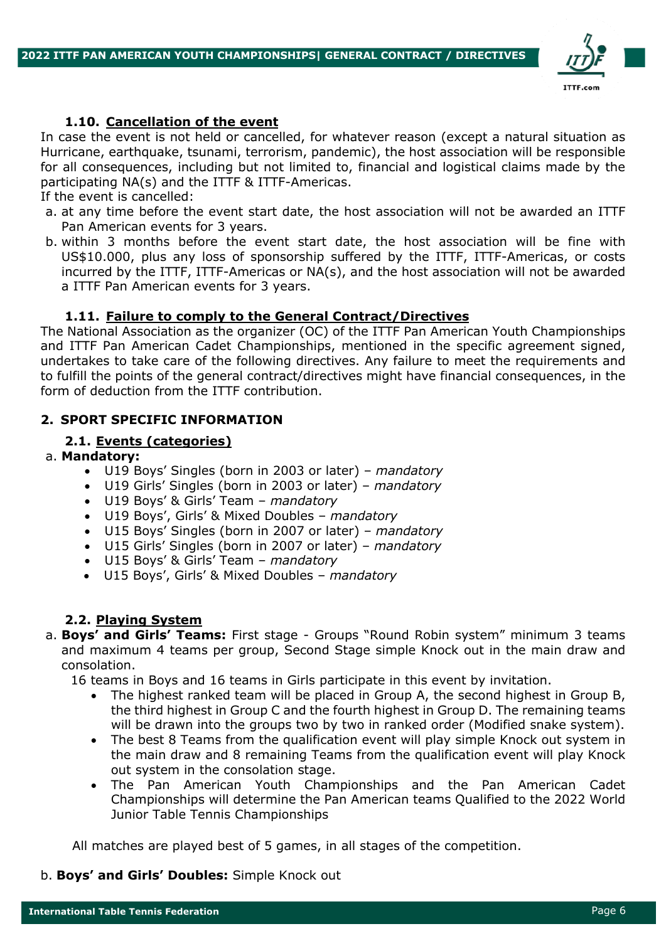

## **1.10. Cancellation of the event**

In case the event is not held or cancelled, for whatever reason (except a natural situation as Hurricane, earthquake, tsunami, terrorism, pandemic), the host association will be responsible for all consequences, including but not limited to, financial and logistical claims made by the participating NA(s) and the ITTF & ITTF-Americas.

If the event is cancelled:

- a. at any time before the event start date, the host association will not be awarded an ITTF Pan American events for 3 years.
- b. within 3 months before the event start date, the host association will be fine with US\$10.000, plus any loss of sponsorship suffered by the ITTF, ITTF-Americas, or costs incurred by the ITTF, ITTF-Americas or NA(s), and the host association will not be awarded a ITTF Pan American events for 3 years.

#### **1.11. Failure to comply to the General Contract/Directives**

The National Association as the organizer (OC) of the ITTF Pan American Youth Championships and ITTF Pan American Cadet Championships, mentioned in the specific agreement signed, undertakes to take care of the following directives. Any failure to meet the requirements and to fulfill the points of the general contract/directives might have financial consequences, in the form of deduction from the ITTF contribution.

#### **2. SPORT SPECIFIC INFORMATION**

#### **2.1. Events (categories)**

#### a. **Mandatory:**

- U19 Boys' Singles (born in 2003 or later) *mandatory*
- U19 Girls' Singles (born in 2003 or later) *mandatory*
- U19 Boys' & Girls' Team *mandatory*
- U19 Boys', Girls' & Mixed Doubles *mandatory*
- U15 Boys' Singles (born in 2007 or later) *mandatory*
- U15 Girls' Singles (born in 2007 or later) *mandatory*
- U15 Boys' & Girls' Team *mandatory*
- U15 Boys', Girls' & Mixed Doubles *mandatory*

#### **2.2. Playing System**

a. **Boys' and Girls' Teams:** First stage - Groups "Round Robin system" minimum 3 teams and maximum 4 teams per group, Second Stage simple Knock out in the main draw and consolation.

16 teams in Boys and 16 teams in Girls participate in this event by invitation.

- The highest ranked team will be placed in Group A, the second highest in Group B, the third highest in Group C and the fourth highest in Group D. The remaining teams will be drawn into the groups two by two in ranked order (Modified snake system).
- The best 8 Teams from the qualification event will play simple Knock out system in the main draw and 8 remaining Teams from the qualification event will play Knock out system in the consolation stage.
- The Pan American Youth Championships and the Pan American Cadet Championships will determine the Pan American teams Qualified to the 2022 World Junior Table Tennis Championships

All matches are played best of 5 games, in all stages of the competition.

b. **Boys' and Girls' Doubles:** Simple Knock out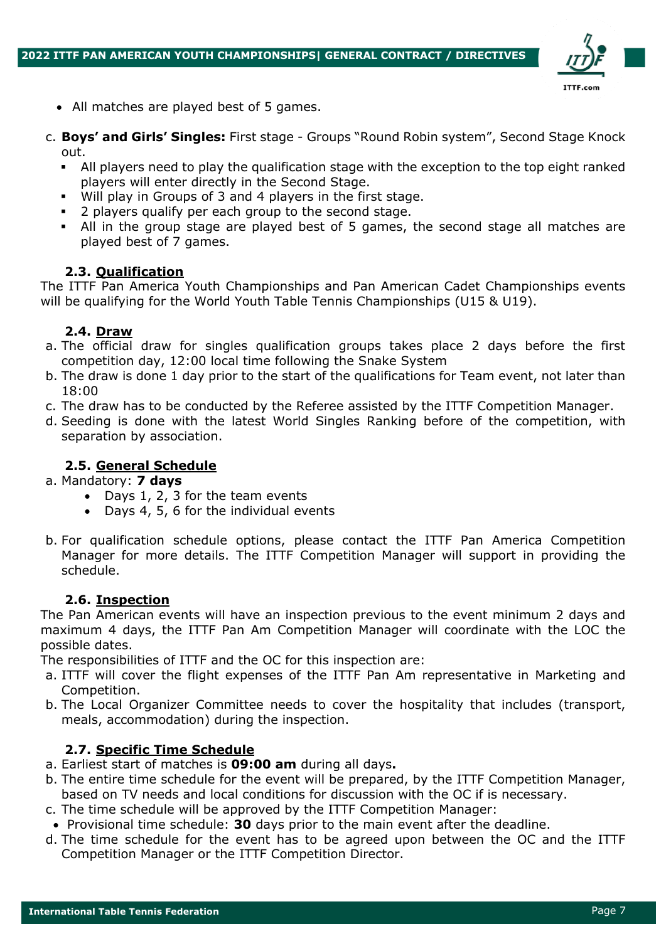

- All matches are played best of 5 games.
- c. **Boys' and Girls' Singles:** First stage Groups "Round Robin system", Second Stage Knock out.
	- All players need to play the qualification stage with the exception to the top eight ranked players will enter directly in the Second Stage.
	- Will play in Groups of 3 and 4 players in the first stage.
	- § 2 players qualify per each group to the second stage.
	- All in the group stage are played best of 5 games, the second stage all matches are played best of 7 games.

# **2.3. Qualification**

The ITTF Pan America Youth Championships and Pan American Cadet Championships events will be qualifying for the World Youth Table Tennis Championships (U15 & U19).

## **2.4. Draw**

- a. The official draw for singles qualification groups takes place 2 days before the first competition day, 12:00 local time following the Snake System
- b. The draw is done 1 day prior to the start of the qualifications for Team event, not later than 18:00
- c. The draw has to be conducted by the Referee assisted by the ITTF Competition Manager.
- d. Seeding is done with the latest World Singles Ranking before of the competition, with separation by association.

## **2.5. General Schedule**

- a. Mandatory: **7 days**
	- Days 1, 2, 3 for the team events
	- Days 4, 5, 6 for the individual events
- b. For qualification schedule options, please contact the ITTF Pan America Competition Manager for more details. The ITTF Competition Manager will support in providing the schedule.

## **2.6. Inspection**

The Pan American events will have an inspection previous to the event minimum 2 days and maximum 4 days, the ITTF Pan Am Competition Manager will coordinate with the LOC the possible dates.

The responsibilities of ITTF and the OC for this inspection are:

- a. ITTF will cover the flight expenses of the ITTF Pan Am representative in Marketing and Competition.
- b. The Local Organizer Committee needs to cover the hospitality that includes (transport, meals, accommodation) during the inspection.

## **2.7. Specific Time Schedule**

- a. Earliest start of matches is **09:00 am** during all days**.**
- b. The entire time schedule for the event will be prepared, by the ITTF Competition Manager, based on TV needs and local conditions for discussion with the OC if is necessary.
- c. The time schedule will be approved by the ITTF Competition Manager:
- Provisional time schedule: **30** days prior to the main event after the deadline.
- d. The time schedule for the event has to be agreed upon between the OC and the ITTF Competition Manager or the ITTF Competition Director.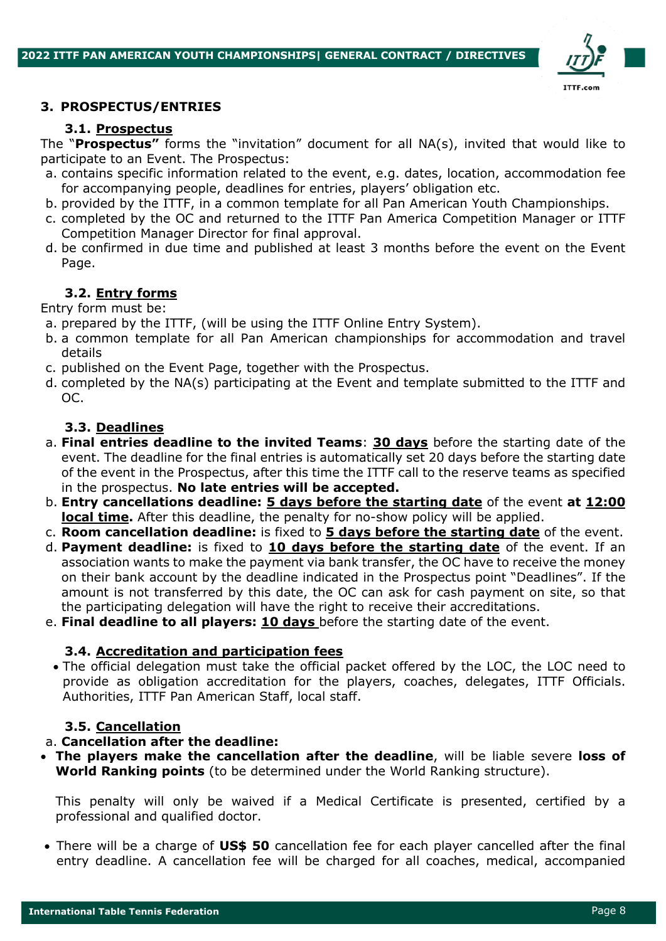

#### **3. PROSPECTUS/ENTRIES**

#### **3.1. Prospectus**

The "**Prospectus"** forms the "invitation" document for all NA(s), invited that would like to participate to an Event. The Prospectus:

- a. contains specific information related to the event, e.g. dates, location, accommodation fee for accompanying people, deadlines for entries, players' obligation etc.
- b. provided by the ITTF, in a common template for all Pan American Youth Championships.
- c. completed by the OC and returned to the ITTF Pan America Competition Manager or ITTF Competition Manager Director for final approval.
- d. be confirmed in due time and published at least 3 months before the event on the Event Page.

# **3.2. Entry forms**

Entry form must be:

- a. prepared by the ITTF, (will be using the ITTF Online Entry System).
- b. a common template for all Pan American championships for accommodation and travel details
- c. published on the Event Page, together with the Prospectus.
- d. completed by the NA(s) participating at the Event and template submitted to the ITTF and OC.

## **3.3. Deadlines**

- a. **Final entries deadline to the invited Teams**: **30 days** before the starting date of the event. The deadline for the final entries is automatically set 20 days before the starting date of the event in the Prospectus, after this time the ITTF call to the reserve teams as specified in the prospectus. **No late entries will be accepted.**
- b. **Entry cancellations deadline: 5 days before the starting date** of the event **at 12:00 local time.** After this deadline, the penalty for no-show policy will be applied.
- c. **Room cancellation deadline:** is fixed to **5 days before the starting date** of the event.
- d. **Payment deadline:** is fixed to **10 days before the starting date** of the event. If an association wants to make the payment via bank transfer, the OC have to receive the money on their bank account by the deadline indicated in the Prospectus point "Deadlines". If the amount is not transferred by this date, the OC can ask for cash payment on site, so that the participating delegation will have the right to receive their accreditations.
- e. **Final deadline to all players: 10 days** before the starting date of the event.

## **3.4. Accreditation and participation fees**

• The official delegation must take the official packet offered by the LOC, the LOC need to provide as obligation accreditation for the players, coaches, delegates, ITTF Officials. Authorities, ITTF Pan American Staff, local staff.

## **3.5. Cancellation**

## a. **Cancellation after the deadline:**

• **The players make the cancellation after the deadline**, will be liable severe **loss of World Ranking points** (to be determined under the World Ranking structure).

This penalty will only be waived if a Medical Certificate is presented, certified by a professional and qualified doctor.

• There will be a charge of **US\$ 50** cancellation fee for each player cancelled after the final entry deadline. A cancellation fee will be charged for all coaches, medical, accompanied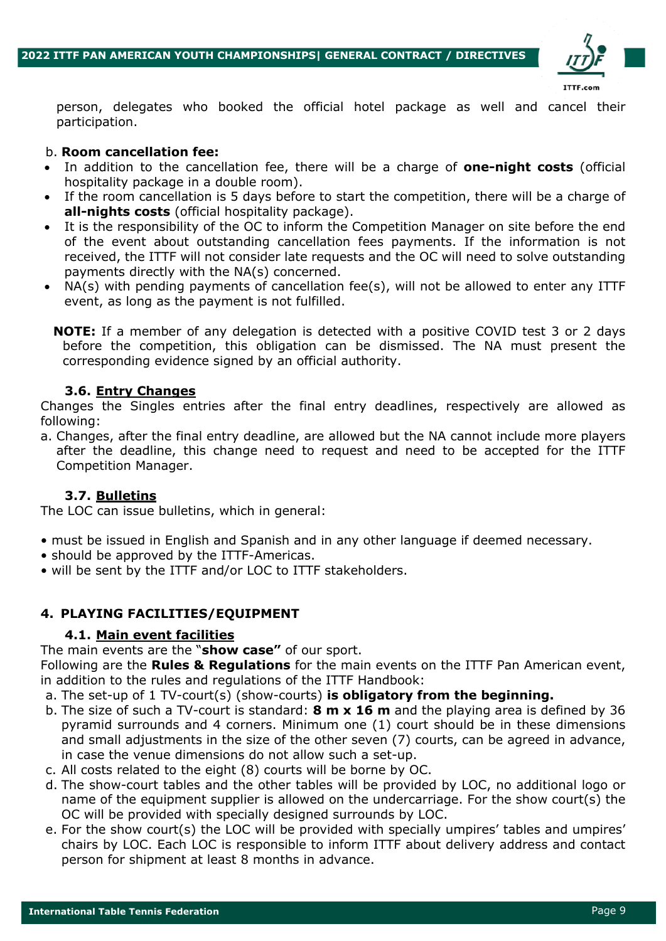

person, delegates who booked the official hotel package as well and cancel their participation.

#### b. **Room cancellation fee:**

- In addition to the cancellation fee, there will be a charge of **one-night costs** (official hospitality package in a double room).
- If the room cancellation is 5 days before to start the competition, there will be a charge of **all-nights costs** (official hospitality package).
- It is the responsibility of the OC to inform the Competition Manager on site before the end of the event about outstanding cancellation fees payments. If the information is not received, the ITTF will not consider late requests and the OC will need to solve outstanding payments directly with the NA(s) concerned.
- NA(s) with pending payments of cancellation fee(s), will not be allowed to enter any ITTF event, as long as the payment is not fulfilled.
	- **NOTE:** If a member of any delegation is detected with a positive COVID test 3 or 2 days before the competition, this obligation can be dismissed. The NA must present the corresponding evidence signed by an official authority.

## **3.6. Entry Changes**

Changes the Singles entries after the final entry deadlines, respectively are allowed as following:

a. Changes, after the final entry deadline, are allowed but the NA cannot include more players after the deadline, this change need to request and need to be accepted for the ITTF Competition Manager.

## **3.7. Bulletins**

The LOC can issue bulletins, which in general:

- must be issued in English and Spanish and in any other language if deemed necessary.
- should be approved by the ITTF-Americas.
- will be sent by the ITTF and/or LOC to ITTF stakeholders.

# **4. PLAYING FACILITIES/EQUIPMENT**

## **4.1. Main event facilities**

The main events are the "**show case"** of our sport.

Following are the **Rules & Regulations** for the main events on the ITTF Pan American event, in addition to the rules and regulations of the ITTF Handbook:

- a. The set-up of 1 TV-court(s) (show-courts) **is obligatory from the beginning.**
- b. The size of such a TV-court is standard: **8 m x 16 m** and the playing area is defined by 36 pyramid surrounds and 4 corners. Minimum one (1) court should be in these dimensions and small adjustments in the size of the other seven (7) courts, can be agreed in advance, in case the venue dimensions do not allow such a set-up.
- c. All costs related to the eight (8) courts will be borne by OC.
- d. The show-court tables and the other tables will be provided by LOC, no additional logo or name of the equipment supplier is allowed on the undercarriage. For the show court(s) the OC will be provided with specially designed surrounds by LOC.
- e. For the show court(s) the LOC will be provided with specially umpires' tables and umpires' chairs by LOC. Each LOC is responsible to inform ITTF about delivery address and contact person for shipment at least 8 months in advance.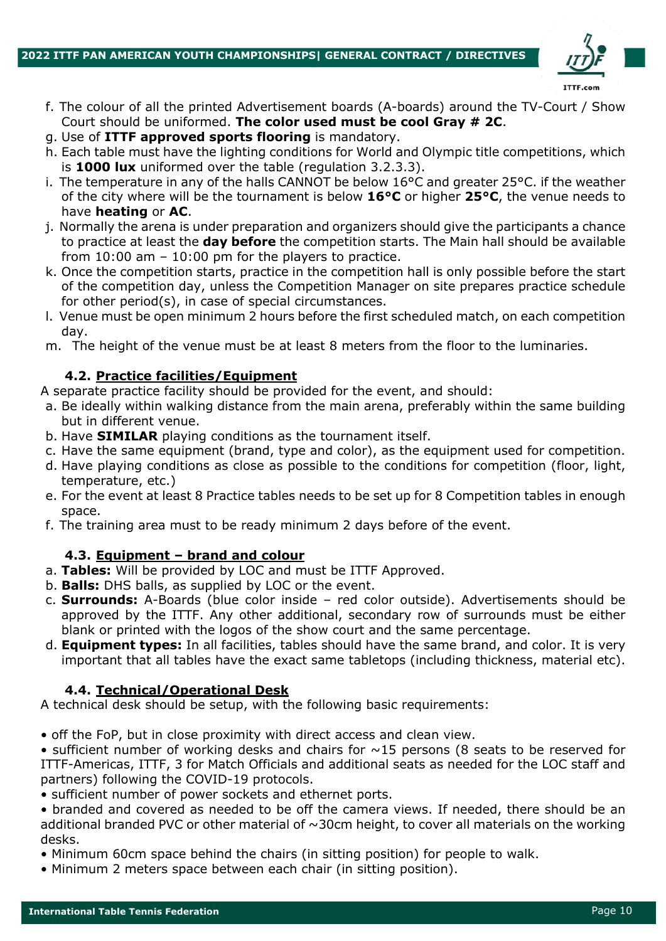

- f. The colour of all the printed Advertisement boards (A-boards) around the TV-Court / Show Court should be uniformed. **The color used must be cool Gray # 2C**.
- g. Use of **ITTF approved sports flooring** is mandatory.
- h. Each table must have the lighting conditions for World and Olympic title competitions, which is **1000 lux** uniformed over the table (regulation 3.2.3.3).
- i. The temperature in any of the halls CANNOT be below  $16^{\circ}$ C and greater 25 $^{\circ}$ C. if the weather of the city where will be the tournament is below **16°C** or higher **25°C**, the venue needs to have **heating** or **AC**.
- j. Normally the arena is under preparation and organizers should give the participants a chance to practice at least the **day before** the competition starts. The Main hall should be available from 10:00 am – 10:00 pm for the players to practice.
- k. Once the competition starts, practice in the competition hall is only possible before the start of the competition day, unless the Competition Manager on site prepares practice schedule for other period(s), in case of special circumstances.
- l. Venue must be open minimum 2 hours before the first scheduled match, on each competition day.
- m. The height of the venue must be at least 8 meters from the floor to the luminaries.

## **4.2. Practice facilities/Equipment**

A separate practice facility should be provided for the event, and should:

- a. Be ideally within walking distance from the main arena, preferably within the same building but in different venue.
- b. Have **SIMILAR** playing conditions as the tournament itself.
- c. Have the same equipment (brand, type and color), as the equipment used for competition.
- d. Have playing conditions as close as possible to the conditions for competition (floor, light, temperature, etc.)
- e. For the event at least 8 Practice tables needs to be set up for 8 Competition tables in enough space.
- f. The training area must to be ready minimum 2 days before of the event.

# **4.3. Equipment – brand and colour**

- a. **Tables:** Will be provided by LOC and must be ITTF Approved.
- b. **Balls:** DHS balls, as supplied by LOC or the event.
- c. **Surrounds:** A-Boards (blue color inside red color outside). Advertisements should be approved by the ITTF. Any other additional, secondary row of surrounds must be either blank or printed with the logos of the show court and the same percentage.
- d. **Equipment types:** In all facilities, tables should have the same brand, and color. It is very important that all tables have the exact same tabletops (including thickness, material etc).

## **4.4. Technical/Operational Desk**

A technical desk should be setup, with the following basic requirements:

• off the FoP, but in close proximity with direct access and clean view.

• sufficient number of working desks and chairs for  $\sim$ 15 persons (8 seats to be reserved for ITTF-Americas, ITTF, 3 for Match Officials and additional seats as needed for the LOC staff and partners) following the COVID-19 protocols.

• sufficient number of power sockets and ethernet ports.

• branded and covered as needed to be off the camera views. If needed, there should be an additional branded PVC or other material of  $\sim$ 30cm height, to cover all materials on the working desks.

- Minimum 60cm space behind the chairs (in sitting position) for people to walk.
- Minimum 2 meters space between each chair (in sitting position).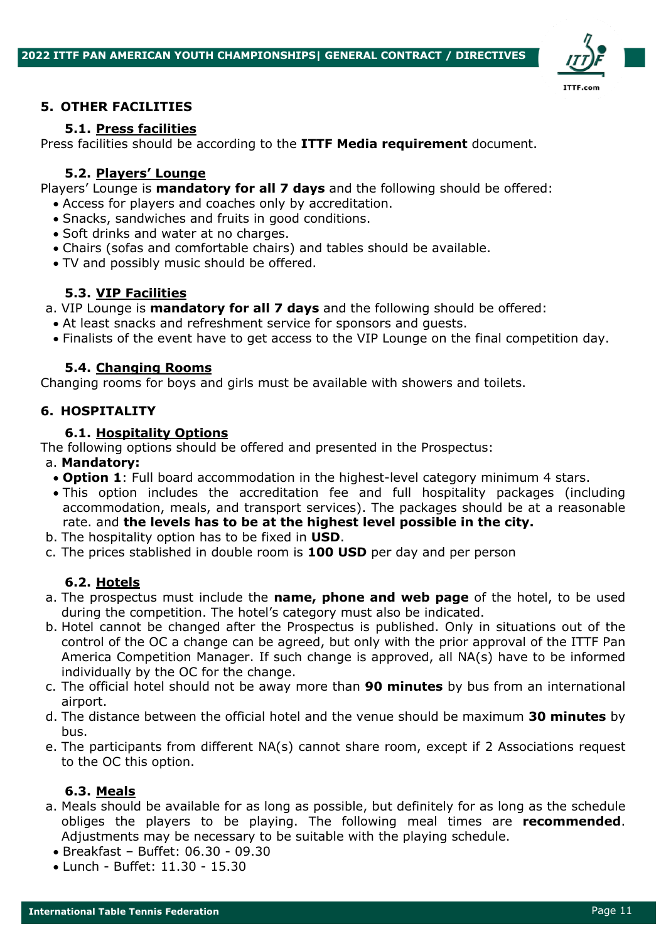

#### **5. OTHER FACILITIES**

#### **5.1. Press facilities**

Press facilities should be according to the **ITTF Media requirement** document.

#### **5.2. Players' Lounge**

Players' Lounge is **mandatory for all 7 days** and the following should be offered:

- Access for players and coaches only by accreditation.
- Snacks, sandwiches and fruits in good conditions.
- Soft drinks and water at no charges.
- Chairs (sofas and comfortable chairs) and tables should be available.
- TV and possibly music should be offered.

# **5.3. VIP Facilities**

a. VIP Lounge is **mandatory for all 7 days** and the following should be offered:

- At least snacks and refreshment service for sponsors and guests.
- Finalists of the event have to get access to the VIP Lounge on the final competition day.

## **5.4. Changing Rooms**

Changing rooms for boys and girls must be available with showers and toilets.

#### **6. HOSPITALITY**

#### **6.1. Hospitality Options**

The following options should be offered and presented in the Prospectus:

#### a. **Mandatory:**

- **Option 1**: Full board accommodation in the highest-level category minimum 4 stars.
- This option includes the accreditation fee and full hospitality packages (including accommodation, meals, and transport services). The packages should be at a reasonable rate. and **the levels has to be at the highest level possible in the city.**
- b. The hospitality option has to be fixed in **USD**.
- c. The prices stablished in double room is **100 USD** per day and per person

## **6.2. Hotels**

- a. The prospectus must include the **name, phone and web page** of the hotel, to be used during the competition. The hotel's category must also be indicated.
- b. Hotel cannot be changed after the Prospectus is published. Only in situations out of the control of the OC a change can be agreed, but only with the prior approval of the ITTF Pan America Competition Manager. If such change is approved, all NA(s) have to be informed individually by the OC for the change.
- c. The official hotel should not be away more than **90 minutes** by bus from an international airport.
- d. The distance between the official hotel and the venue should be maximum **30 minutes** by bus.
- e. The participants from different NA(s) cannot share room, except if 2 Associations request to the OC this option.

## **6.3. Meals**

- a. Meals should be available for as long as possible, but definitely for as long as the schedule obliges the players to be playing. The following meal times are **recommended**. Adjustments may be necessary to be suitable with the playing schedule.
	- Breakfast Buffet: 06.30 09.30
	- Lunch Buffet: 11.30 15.30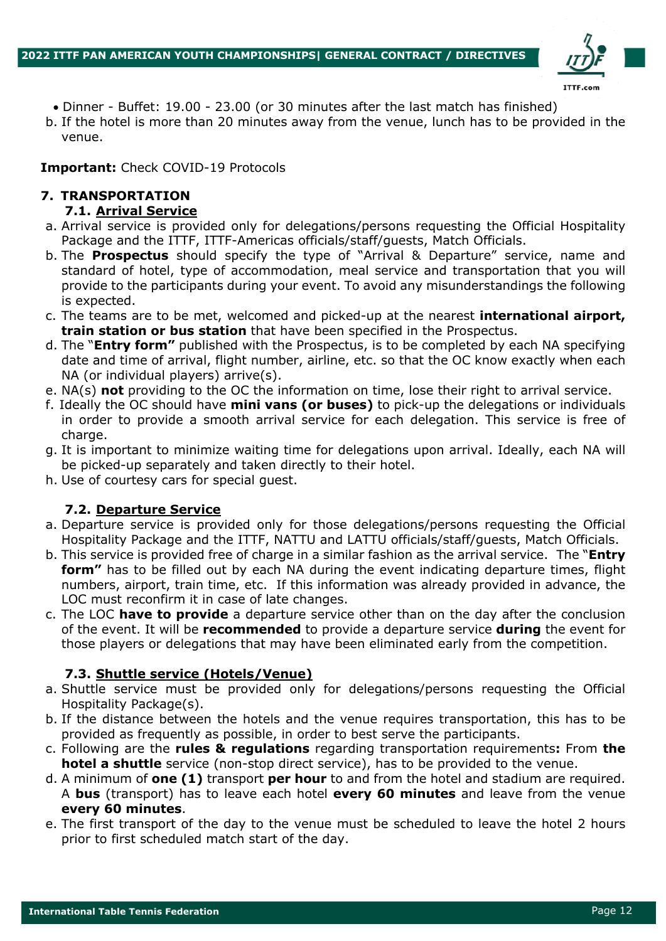

- Dinner Buffet: 19.00 23.00 (or 30 minutes after the last match has finished)
- b. If the hotel is more than 20 minutes away from the venue, lunch has to be provided in the venue.

## **Important:** Check COVID-19 Protocols

# **7. TRANSPORTATION**

# **7.1. Arrival Service**

- a. Arrival service is provided only for delegations/persons requesting the Official Hospitality Package and the ITTF, ITTF-Americas officials/staff/guests, Match Officials.
- b. The **Prospectus** should specify the type of "Arrival & Departure" service, name and standard of hotel, type of accommodation, meal service and transportation that you will provide to the participants during your event. To avoid any misunderstandings the following is expected.
- c. The teams are to be met, welcomed and picked-up at the nearest **international airport, train station or bus station** that have been specified in the Prospectus.
- d. The "**Entry form"** published with the Prospectus, is to be completed by each NA specifying date and time of arrival, flight number, airline, etc. so that the OC know exactly when each NA (or individual players) arrive(s).
- e. NA(s) **not** providing to the OC the information on time, lose their right to arrival service.
- f. Ideally the OC should have **mini vans (or buses)** to pick-up the delegations or individuals in order to provide a smooth arrival service for each delegation. This service is free of charge.
- g. It is important to minimize waiting time for delegations upon arrival. Ideally, each NA will be picked-up separately and taken directly to their hotel.
- h. Use of courtesy cars for special guest.

# **7.2. Departure Service**

- a. Departure service is provided only for those delegations/persons requesting the Official Hospitality Package and the ITTF, NATTU and LATTU officials/staff/guests, Match Officials.
- b. This service is provided free of charge in a similar fashion as the arrival service. The "**Entry form"** has to be filled out by each NA during the event indicating departure times, flight numbers, airport, train time, etc. If this information was already provided in advance, the LOC must reconfirm it in case of late changes.
- c. The LOC **have to provide** a departure service other than on the day after the conclusion of the event. It will be **recommended** to provide a departure service **during** the event for those players or delegations that may have been eliminated early from the competition.

# **7.3. Shuttle service (Hotels/Venue)**

- a. Shuttle service must be provided only for delegations/persons requesting the Official Hospitality Package(s).
- b. If the distance between the hotels and the venue requires transportation, this has to be provided as frequently as possible, in order to best serve the participants.
- c. Following are the **rules & regulations** regarding transportation requirements**:** From **the hotel a shuttle** service (non-stop direct service), has to be provided to the venue.
- d. A minimum of **one (1)** transport **per hour** to and from the hotel and stadium are required. A **bus** (transport) has to leave each hotel **every 60 minutes** and leave from the venue **every 60 minutes**.
- e. The first transport of the day to the venue must be scheduled to leave the hotel 2 hours prior to first scheduled match start of the day.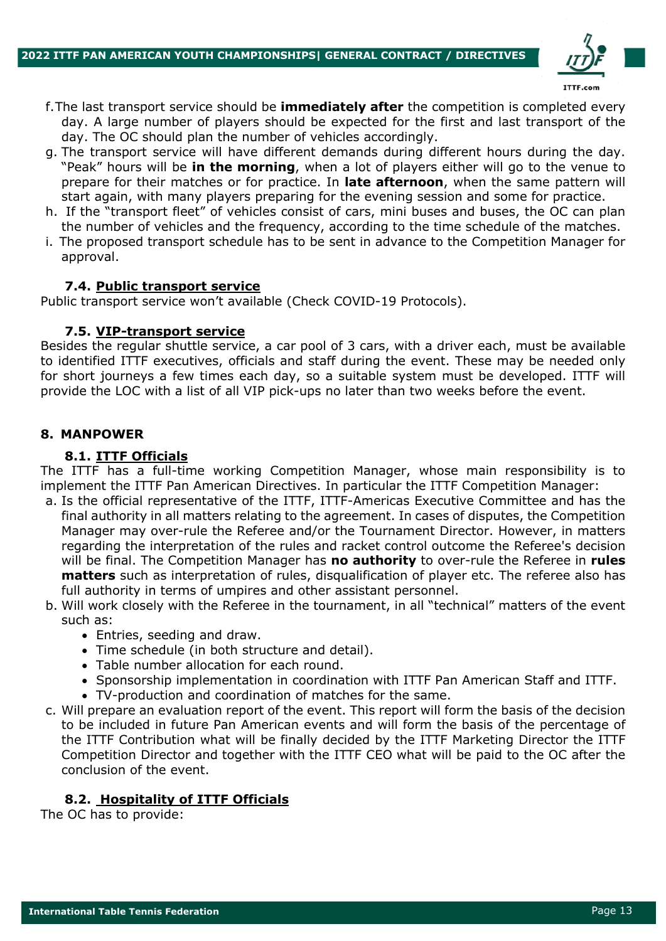

- f.The last transport service should be **immediately after** the competition is completed every day. A large number of players should be expected for the first and last transport of the day. The OC should plan the number of vehicles accordingly.
- g. The transport service will have different demands during different hours during the day. "Peak" hours will be **in the morning**, when a lot of players either will go to the venue to prepare for their matches or for practice. In **late afternoon**, when the same pattern will start again, with many players preparing for the evening session and some for practice.
- h. If the "transport fleet" of vehicles consist of cars, mini buses and buses, the OC can plan the number of vehicles and the frequency, according to the time schedule of the matches.
- i. The proposed transport schedule has to be sent in advance to the Competition Manager for approval.

#### **7.4. Public transport service**

Public transport service won't available (Check COVID-19 Protocols).

#### **7.5. VIP-transport service**

Besides the regular shuttle service, a car pool of 3 cars, with a driver each, must be available to identified ITTF executives, officials and staff during the event. These may be needed only for short journeys a few times each day, so a suitable system must be developed. ITTF will provide the LOC with a list of all VIP pick-ups no later than two weeks before the event.

#### **8. MANPOWER**

#### **8.1. ITTF Officials**

The ITTF has a full-time working Competition Manager, whose main responsibility is to implement the ITTF Pan American Directives. In particular the ITTF Competition Manager:

- a. Is the official representative of the ITTF, ITTF-Americas Executive Committee and has the final authority in all matters relating to the agreement. In cases of disputes, the Competition Manager may over-rule the Referee and/or the Tournament Director. However, in matters regarding the interpretation of the rules and racket control outcome the Referee's decision will be final. The Competition Manager has **no authority** to over-rule the Referee in **rules matters** such as interpretation of rules, disqualification of player etc. The referee also has full authority in terms of umpires and other assistant personnel.
- b. Will work closely with the Referee in the tournament, in all "technical" matters of the event such as:
	- Entries, seeding and draw.
	- Time schedule (in both structure and detail).
	- Table number allocation for each round.
	- Sponsorship implementation in coordination with ITTF Pan American Staff and ITTF.
	- TV-production and coordination of matches for the same.
- c. Will prepare an evaluation report of the event. This report will form the basis of the decision to be included in future Pan American events and will form the basis of the percentage of the ITTF Contribution what will be finally decided by the ITTF Marketing Director the ITTF Competition Director and together with the ITTF CEO what will be paid to the OC after the conclusion of the event.

## **8.2. Hospitality of ITTF Officials**

The OC has to provide: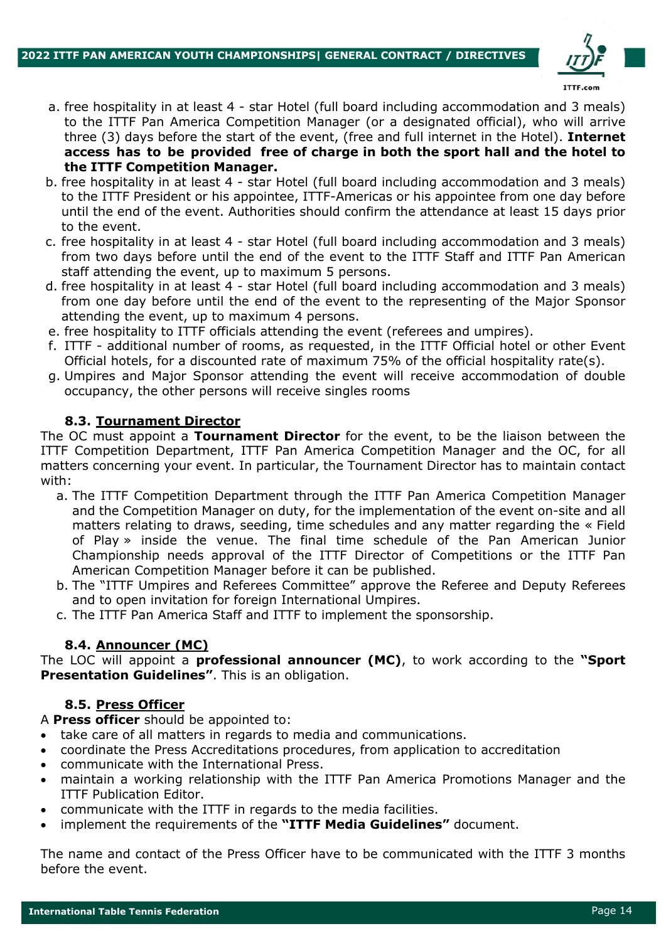

- a. free hospitality in at least 4 star Hotel (full board including accommodation and 3 meals) to the ITTF Pan America Competition Manager (or a designated official), who will arrive three (3) days before the start of the event, (free and full internet in the Hotel). **Internet access has to be provided free of charge in both the sport hall and the hotel to the ITTF Competition Manager.**
- b. free hospitality in at least 4 star Hotel (full board including accommodation and 3 meals) to the ITTF President or his appointee, ITTF-Americas or his appointee from one day before until the end of the event. Authorities should confirm the attendance at least 15 days prior to the event.
- c. free hospitality in at least 4 star Hotel (full board including accommodation and 3 meals) from two days before until the end of the event to the ITTF Staff and ITTF Pan American staff attending the event, up to maximum 5 persons.
- d. free hospitality in at least 4 star Hotel (full board including accommodation and 3 meals) from one day before until the end of the event to the representing of the Major Sponsor attending the event, up to maximum 4 persons.
- e. free hospitality to ITTF officials attending the event (referees and umpires).
- f. ITTF additional number of rooms, as requested, in the ITTF Official hotel or other Event Official hotels, for a discounted rate of maximum 75% of the official hospitality rate(s).
- g. Umpires and Major Sponsor attending the event will receive accommodation of double occupancy, the other persons will receive singles rooms

#### **8.3. Tournament Director**

The OC must appoint a **Tournament Director** for the event, to be the liaison between the ITTF Competition Department, ITTF Pan America Competition Manager and the OC, for all matters concerning your event. In particular, the Tournament Director has to maintain contact with:

- a. The ITTF Competition Department through the ITTF Pan America Competition Manager and the Competition Manager on duty, for the implementation of the event on-site and all matters relating to draws, seeding, time schedules and any matter regarding the « Field of Play » inside the venue. The final time schedule of the Pan American Junior Championship needs approval of the ITTF Director of Competitions or the ITTF Pan American Competition Manager before it can be published.
- b. The "ITTF Umpires and Referees Committee" approve the Referee and Deputy Referees and to open invitation for foreign International Umpires.
- c. The ITTF Pan America Staff and ITTF to implement the sponsorship.

## **8.4. Announcer (MC)**

The LOC will appoint a **professional announcer (MC)**, to work according to the **"Sport Presentation Guidelines"**. This is an obligation.

#### **8.5. Press Officer**

A **Press officer** should be appointed to:

- take care of all matters in regards to media and communications.
- coordinate the Press Accreditations procedures, from application to accreditation
- communicate with the International Press.
- maintain a working relationship with the ITTF Pan America Promotions Manager and the ITTF Publication Editor.
- communicate with the ITTF in regards to the media facilities.
- implement the requirements of the **"ITTF Media Guidelines"** document.

The name and contact of the Press Officer have to be communicated with the ITTF 3 months before the event.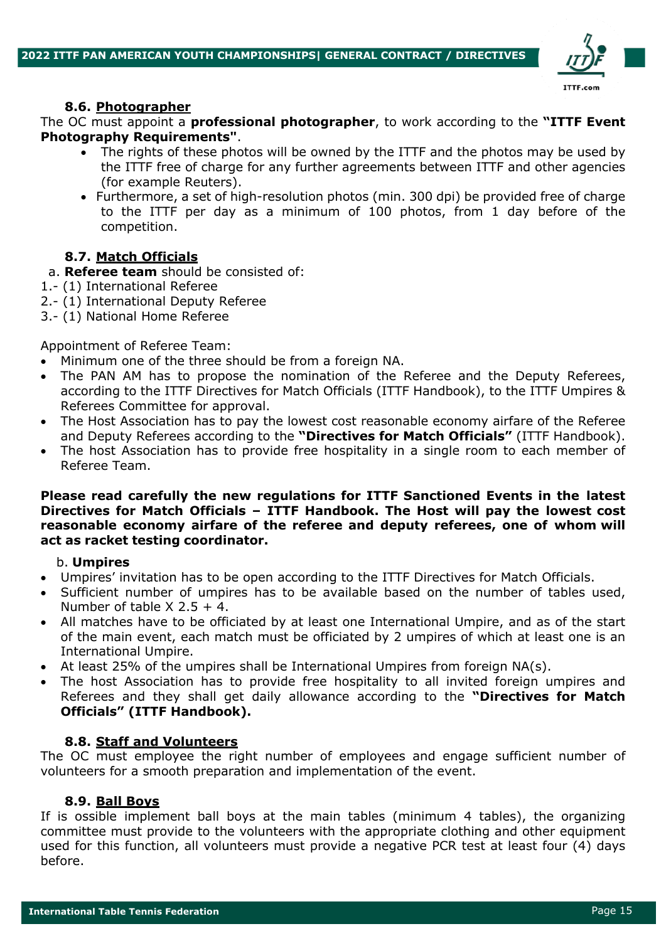

## **8.6. Photographer**

The OC must appoint a **professional photographer**, to work according to the **"ITTF Event Photography Requirements"**.

- The rights of these photos will be owned by the ITTF and the photos may be used by the ITTF free of charge for any further agreements between ITTF and other agencies (for example Reuters).
- Furthermore, a set of high-resolution photos (min. 300 dpi) be provided free of charge to the ITTF per day as a minimum of 100 photos, from 1 day before of the competition.

# **8.7. Match Officials**

- a. **Referee team** should be consisted of:
- 1.- (1) International Referee
- 2.- (1) International Deputy Referee
- 3.- (1) National Home Referee

#### Appointment of Referee Team:

- Minimum one of the three should be from a foreign NA.
- The PAN AM has to propose the nomination of the Referee and the Deputy Referees, according to the ITTF Directives for Match Officials (ITTF Handbook), to the ITTF Umpires & Referees Committee for approval.
- The Host Association has to pay the lowest cost reasonable economy airfare of the Referee and Deputy Referees according to the **"Directives for Match Officials"** (ITTF Handbook).
- The host Association has to provide free hospitality in a single room to each member of Referee Team.

#### **Please read carefully the new regulations for ITTF Sanctioned Events in the latest Directives for Match Officials – ITTF Handbook. The Host will pay the lowest cost reasonable economy airfare of the referee and deputy referees, one of whom will act as racket testing coordinator.**

#### b. **Umpires**

- Umpires' invitation has to be open according to the ITTF Directives for Match Officials.
- Sufficient number of umpires has to be available based on the number of tables used, Number of table  $X$  2.5 + 4.
- All matches have to be officiated by at least one International Umpire, and as of the start of the main event, each match must be officiated by 2 umpires of which at least one is an International Umpire.
- At least 25% of the umpires shall be International Umpires from foreign  $NA(s)$ .
- The host Association has to provide free hospitality to all invited foreign umpires and Referees and they shall get daily allowance according to the **"Directives for Match Officials" (ITTF Handbook).**

## **8.8. Staff and Volunteers**

The OC must employee the right number of employees and engage sufficient number of volunteers for a smooth preparation and implementation of the event.

#### **8.9. Ball Boys**

If is ossible implement ball boys at the main tables (minimum 4 tables), the organizing committee must provide to the volunteers with the appropriate clothing and other equipment used for this function, all volunteers must provide a negative PCR test at least four (4) days before.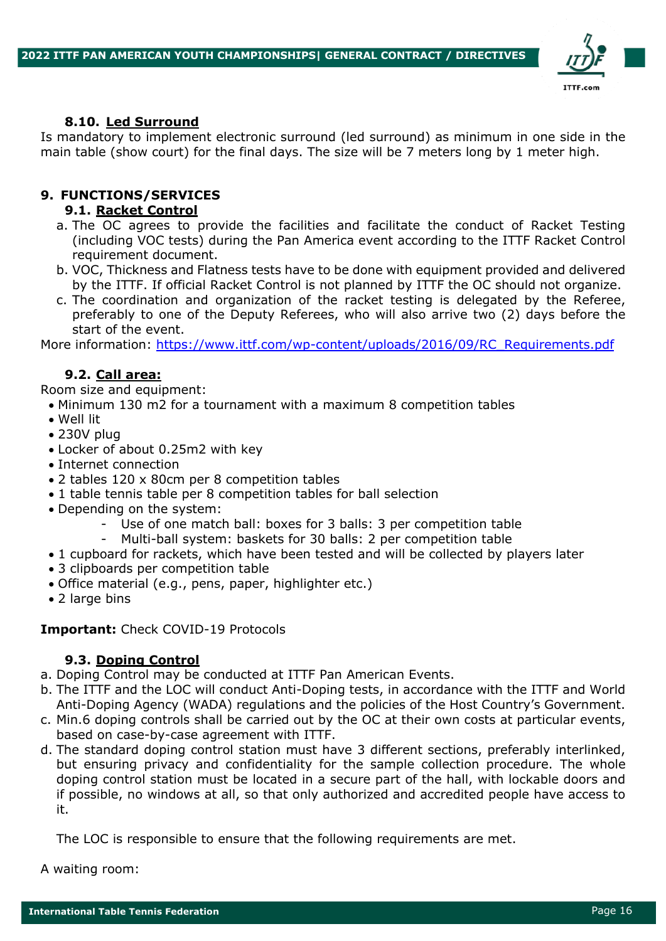

#### **8.10. Led Surround**

Is mandatory to implement electronic surround (led surround) as minimum in one side in the main table (show court) for the final days. The size will be 7 meters long by 1 meter high.

#### **9. FUNCTIONS/SERVICES**

#### **9.1. Racket Control**

- a. The OC agrees to provide the facilities and facilitate the conduct of Racket Testing (including VOC tests) during the Pan America event according to the ITTF Racket Control requirement document.
- b. VOC, Thickness and Flatness tests have to be done with equipment provided and delivered by the ITTF. If official Racket Control is not planned by ITTF the OC should not organize.
- c. The coordination and organization of the racket testing is delegated by the Referee, preferably to one of the Deputy Referees, who will also arrive two (2) days before the start of the event.

More information: https://www.ittf.com/wp-content/uploads/2016/09/RC\_Requirements.pdf

#### **9.2. Call area:**

Room size and equipment:

- Minimum 130 m2 for a tournament with a maximum 8 competition tables
- Well lit
- 230V plug
- Locker of about 0.25m2 with key
- Internet connection
- 2 tables 120 x 80cm per 8 competition tables
- 1 table tennis table per 8 competition tables for ball selection
- Depending on the system:
	- Use of one match ball: boxes for 3 balls: 3 per competition table
	- Multi-ball system: baskets for 30 balls: 2 per competition table
- 1 cupboard for rackets, which have been tested and will be collected by players later
- 3 clipboards per competition table
- Office material (e.g., pens, paper, highlighter etc.)
- 2 large bins

#### **Important:** Check COVID-19 Protocols

## **9.3. Doping Control**

- a. Doping Control may be conducted at ITTF Pan American Events.
- b. The ITTF and the LOC will conduct Anti-Doping tests, in accordance with the ITTF and World Anti-Doping Agency (WADA) regulations and the policies of the Host Country's Government.
- c. Min.6 doping controls shall be carried out by the OC at their own costs at particular events, based on case-by-case agreement with ITTF.
- d. The standard doping control station must have 3 different sections, preferably interlinked, but ensuring privacy and confidentiality for the sample collection procedure. The whole doping control station must be located in a secure part of the hall, with lockable doors and if possible, no windows at all, so that only authorized and accredited people have access to it.

The LOC is responsible to ensure that the following requirements are met.

A waiting room: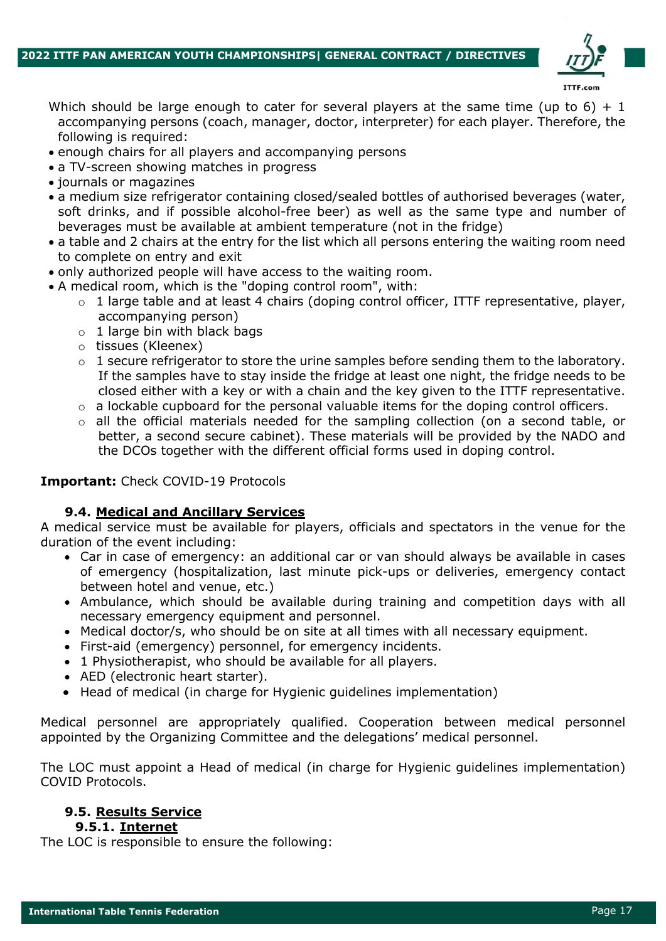

- Which should be large enough to cater for several players at the same time (up to 6) + 1 accompanying persons (coach, manager, doctor, interpreter) for each player. Therefore, the following is required:
- enough chairs for all players and accompanying persons
- a TV-screen showing matches in progress
- journals or magazines
- a medium size refrigerator containing closed/sealed bottles of authorised beverages (water, soft drinks, and if possible alcohol-free beer) as well as the same type and number of beverages must be available at ambient temperature (not in the fridge)
- a table and 2 chairs at the entry for the list which all persons entering the waiting room need to complete on entry and exit
- only authorized people will have access to the waiting room.
- A medical room, which is the "doping control room", with:
	- $\circ$  1 large table and at least 4 chairs (doping control officer, ITTF representative, player, accompanying person)
	- $\circ$  1 large bin with black bags
	- o tissues (Kleenex)
	- $\circ$  1 secure refrigerator to store the urine samples before sending them to the laboratory. If the samples have to stay inside the fridge at least one night, the fridge needs to be closed either with a key or with a chain and the key given to the ITTF representative.
	- $\circ$  a lockable cupboard for the personal valuable items for the doping control officers.
	- o all the official materials needed for the sampling collection (on a second table, or better, a second secure cabinet). These materials will be provided by the NADO and the DCOs together with the different official forms used in doping control.

#### **Important:** Check COVID-19 Protocols

## **9.4. Medical and Ancillary Services**

A medical service must be available for players, officials and spectators in the venue for the duration of the event including:

- Car in case of emergency: an additional car or van should always be available in cases of emergency (hospitalization, last minute pick-ups or deliveries, emergency contact between hotel and venue, etc.)
- Ambulance, which should be available during training and competition days with all necessary emergency equipment and personnel.
- Medical doctor/s, who should be on site at all times with all necessary equipment.
- First-aid (emergency) personnel, for emergency incidents.
- 1 Physiotherapist, who should be available for all players.
- AED (electronic heart starter).
- Head of medical (in charge for Hygienic guidelines implementation)

Medical personnel are appropriately qualified. Cooperation between medical personnel appointed by the Organizing Committee and the delegations' medical personnel.

The LOC must appoint a Head of medical (in charge for Hygienic guidelines implementation) COVID Protocols.

## **9.5. Results Service**

#### **9.5.1. Internet**

The LOC is responsible to ensure the following: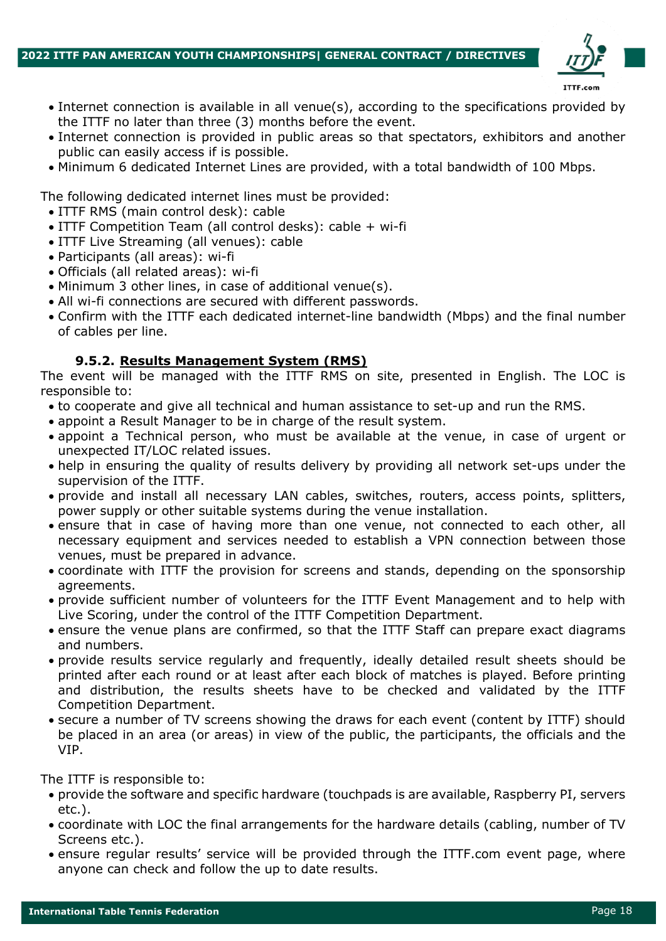

- Internet connection is available in all venue(s), according to the specifications provided by the ITTF no later than three (3) months before the event.
- Internet connection is provided in public areas so that spectators, exhibitors and another public can easily access if is possible.
- Minimum 6 dedicated Internet Lines are provided, with a total bandwidth of 100 Mbps.

The following dedicated internet lines must be provided:

- ITTF RMS (main control desk): cable
- ITTF Competition Team (all control desks): cable + wi-fi
- ITTF Live Streaming (all venues): cable
- Participants (all areas): wi-fi
- Officials (all related areas): wi-fi
- Minimum 3 other lines, in case of additional venue(s).
- All wi-fi connections are secured with different passwords.
- Confirm with the ITTF each dedicated internet-line bandwidth (Mbps) and the final number of cables per line.

## **9.5.2. Results Management System (RMS)**

The event will be managed with the ITTF RMS on site, presented in English. The LOC is responsible to:

- to cooperate and give all technical and human assistance to set-up and run the RMS.
- appoint a Result Manager to be in charge of the result system.
- appoint a Technical person, who must be available at the venue, in case of urgent or unexpected IT/LOC related issues.
- help in ensuring the quality of results delivery by providing all network set-ups under the supervision of the ITTF.
- provide and install all necessary LAN cables, switches, routers, access points, splitters, power supply or other suitable systems during the venue installation.
- ensure that in case of having more than one venue, not connected to each other, all necessary equipment and services needed to establish a VPN connection between those venues, must be prepared in advance.
- coordinate with ITTF the provision for screens and stands, depending on the sponsorship agreements.
- provide sufficient number of volunteers for the ITTF Event Management and to help with Live Scoring, under the control of the ITTF Competition Department.
- ensure the venue plans are confirmed, so that the ITTF Staff can prepare exact diagrams and numbers.
- provide results service regularly and frequently, ideally detailed result sheets should be printed after each round or at least after each block of matches is played. Before printing and distribution, the results sheets have to be checked and validated by the ITTF Competition Department.
- secure a number of TV screens showing the draws for each event (content by ITTF) should be placed in an area (or areas) in view of the public, the participants, the officials and the VIP.

The ITTF is responsible to:

- provide the software and specific hardware (touchpads is are available, Raspberry PI, servers etc.).
- coordinate with LOC the final arrangements for the hardware details (cabling, number of TV Screens etc.).
- ensure regular results' service will be provided through the ITTF.com event page, where anyone can check and follow the up to date results.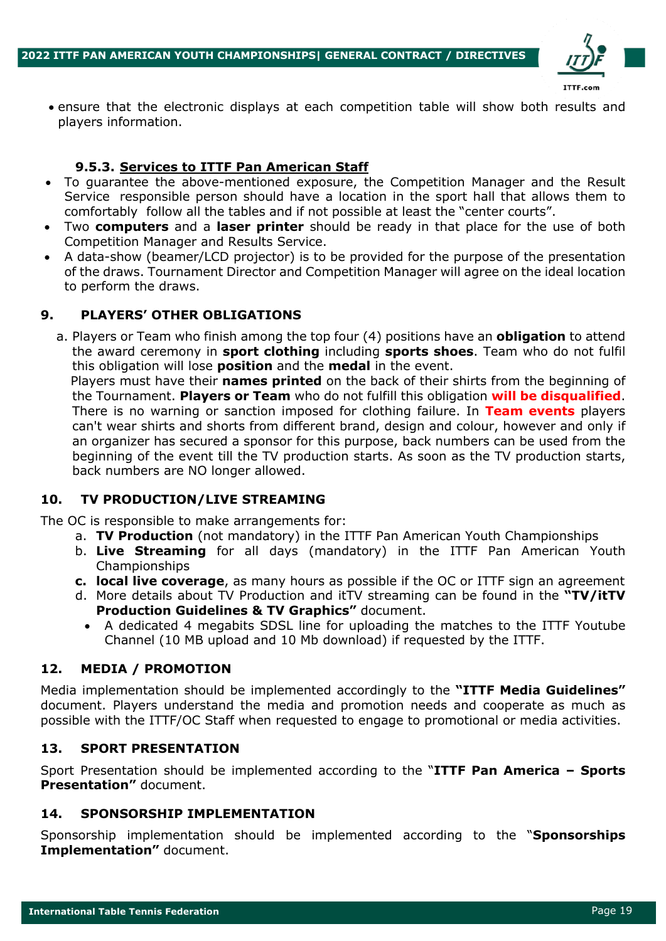

• ensure that the electronic displays at each competition table will show both results and players information.

#### **9.5.3. Services to ITTF Pan American Staff**

- To guarantee the above-mentioned exposure, the Competition Manager and the Result Service responsible person should have a location in the sport hall that allows them to comfortably follow all the tables and if not possible at least the "center courts".
- Two **computers** and a **laser printer** should be ready in that place for the use of both Competition Manager and Results Service.
- A data-show (beamer/LCD projector) is to be provided for the purpose of the presentation of the draws. Tournament Director and Competition Manager will agree on the ideal location to perform the draws.

## **9. PLAYERS' OTHER OBLIGATIONS**

a. Players or Team who finish among the top four (4) positions have an **obligation** to attend the award ceremony in **sport clothing** including **sports shoes**. Team who do not fulfil this obligation will lose **position** and the **medal** in the event.

 Players must have their **names printed** on the back of their shirts from the beginning of the Tournament. **Players or Team** who do not fulfill this obligation **will be disqualified**. There is no warning or sanction imposed for clothing failure. In **Team events** players can't wear shirts and shorts from different brand, design and colour, however and only if an organizer has secured a sponsor for this purpose, back numbers can be used from the beginning of the event till the TV production starts. As soon as the TV production starts, back numbers are NO longer allowed.

## **10. TV PRODUCTION/LIVE STREAMING**

The OC is responsible to make arrangements for:

- a. **TV Production** (not mandatory) in the ITTF Pan American Youth Championships
- b. **Live Streaming** for all days (mandatory) in the ITTF Pan American Youth Championships
- **c. local live coverage**, as many hours as possible if the OC or ITTF sign an agreement
- d. More details about TV Production and itTV streaming can be found in the **"TV/itTV Production Guidelines & TV Graphics"** document.
	- A dedicated 4 megabits SDSL line for uploading the matches to the ITTF Youtube Channel (10 MB upload and 10 Mb download) if requested by the ITTF.

#### **12. MEDIA / PROMOTION**

Media implementation should be implemented accordingly to the **"ITTF Media Guidelines"**  document. Players understand the media and promotion needs and cooperate as much as possible with the ITTF/OC Staff when requested to engage to promotional or media activities.

#### **13. SPORT PRESENTATION**

Sport Presentation should be implemented according to the "**ITTF Pan America – Sports Presentation"** document.

#### **14. SPONSORSHIP IMPLEMENTATION**

Sponsorship implementation should be implemented according to the "**Sponsorships Implementation"** document.